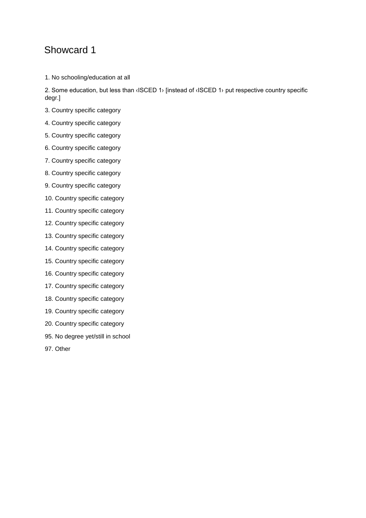1. No schooling/education at all

2. Some education, but less than ‹ISCED 1› [instead of ‹ISCED 1› put respective country specific degr.]

- 3. Country specific category
- 4. Country specific category
- 5. Country specific category
- 6. Country specific category
- 7. Country specific category
- 8. Country specific category
- 9. Country specific category
- 10. Country specific category
- 11. Country specific category
- 12. Country specific category
- 13. Country specific category
- 14. Country specific category
- 15. Country specific category
- 16. Country specific category
- 17. Country specific category
- 18. Country specific category
- 19. Country specific category
- 20. Country specific category
- 95. No degree yet/still in school
- 97. Other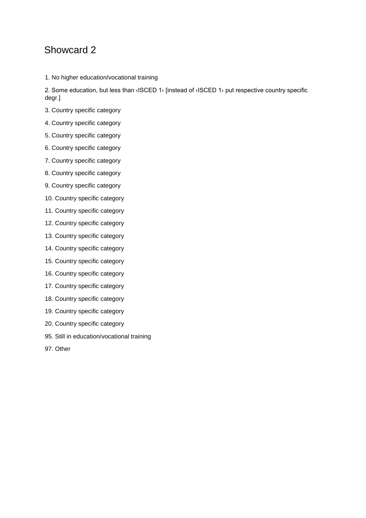1. No higher education/vocational training

2. Some education, but less than ‹ISCED 1› [instead of ‹ISCED 1› put respective country specific degr.]

- 3. Country specific category
- 4. Country specific category
- 5. Country specific category
- 6. Country specific category
- 7. Country specific category
- 8. Country specific category
- 9. Country specific category
- 10. Country specific category
- 11. Country specific category
- 12. Country specific category
- 13. Country specific category
- 14. Country specific category
- 15. Country specific category
- 16. Country specific category
- 17. Country specific category
- 18. Country specific category
- 19. Country specific category
- 20. Country specific category
- 95. Still in education/vocational training
- 97. Other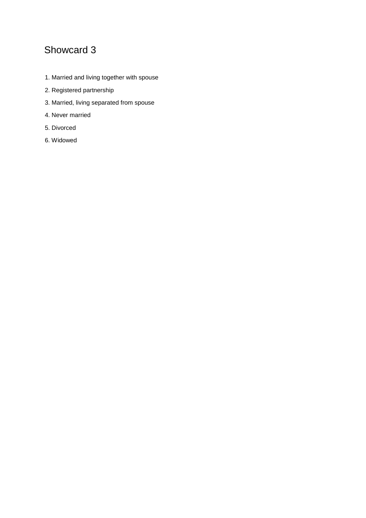- 1. Married and living together with spouse
- 2. Registered partnership
- 3. Married, living separated from spouse
- 4. Never married
- 5. Divorced
- 6. Widowed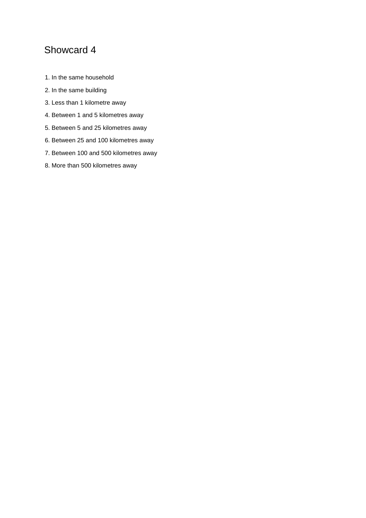- 1. In the same household
- 2. In the same building
- 3. Less than 1 kilometre away
- 4. Between 1 and 5 kilometres away
- 5. Between 5 and 25 kilometres away
- 6. Between 25 and 100 kilometres away
- 7. Between 100 and 500 kilometres away
- 8. More than 500 kilometres away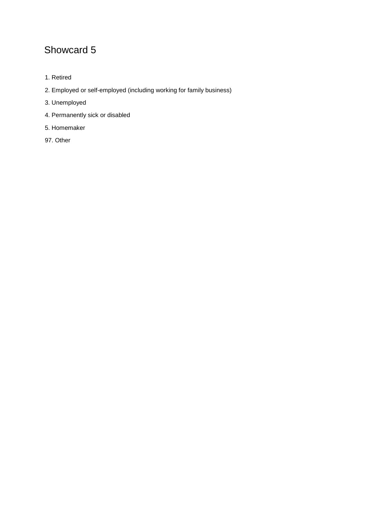- 1. Retired
- 2. Employed or self-employed (including working for family business)
- 3. Unemployed
- 4. Permanently sick or disabled
- 5. Homemaker
- 97. Other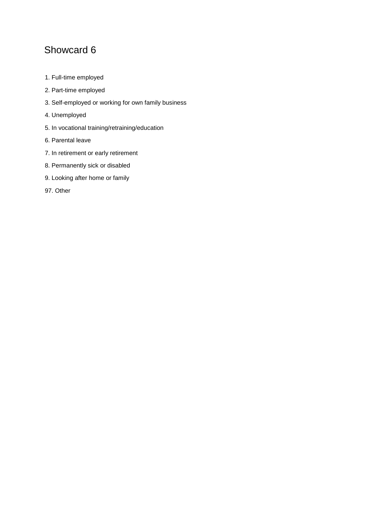- 1. Full-time employed
- 2. Part-time employed
- 3. Self-employed or working for own family business
- 4. Unemployed
- 5. In vocational training/retraining/education
- 6. Parental leave
- 7. In retirement or early retirement
- 8. Permanently sick or disabled
- 9. Looking after home or family
- 97. Other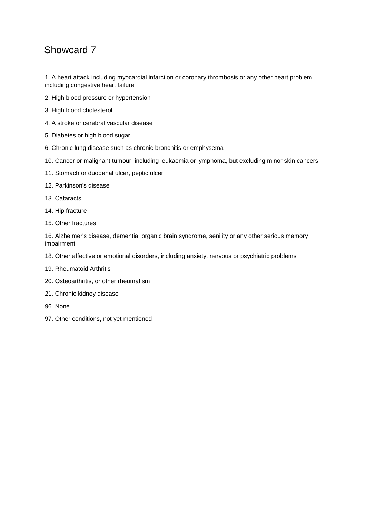1. A heart attack including myocardial infarction or coronary thrombosis or any other heart problem including congestive heart failure

- 2. High blood pressure or hypertension
- 3. High blood cholesterol
- 4. A stroke or cerebral vascular disease
- 5. Diabetes or high blood sugar
- 6. Chronic lung disease such as chronic bronchitis or emphysema
- 10. Cancer or malignant tumour, including leukaemia or lymphoma, but excluding minor skin cancers
- 11. Stomach or duodenal ulcer, peptic ulcer
- 12. Parkinson's disease
- 13. Cataracts
- 14. Hip fracture
- 15. Other fractures

16. Alzheimer's disease, dementia, organic brain syndrome, senility or any other serious memory impairment

- 18. Other affective or emotional disorders, including anxiety, nervous or psychiatric problems
- 19. Rheumatoid Arthritis
- 20. Osteoarthritis, or other rheumatism
- 21. Chronic kidney disease
- 96. None
- 97. Other conditions, not yet mentioned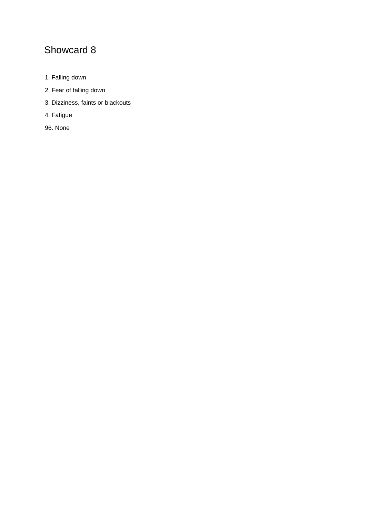- 1. Falling down
- 2. Fear of falling down
- 3. Dizziness, faints or blackouts
- 4. Fatigue
- 96. None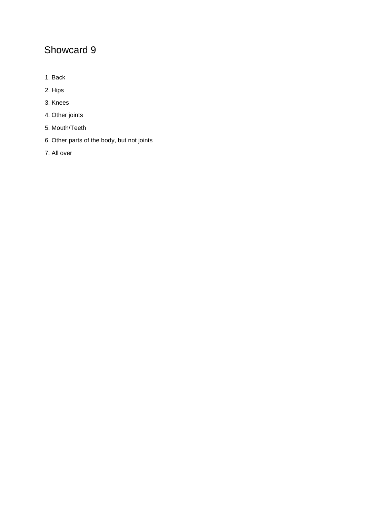- 1. Back
- 2. Hips
- 3. Knees
- 4. Other joints
- 5. Mouth/Teeth
- 6. Other parts of the body, but not joints
- 7. All over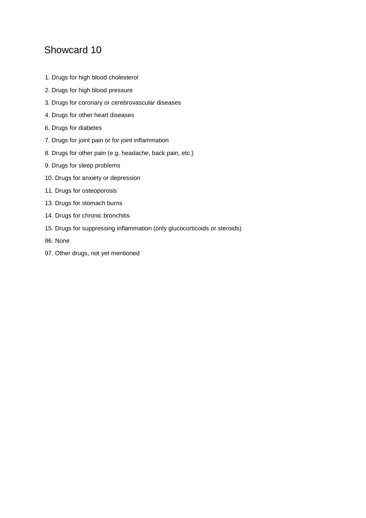- 1. Drugs for high blood cholesterol
- 2. Drugs for high blood pressure
- 3. Drugs for coronary or cerebrovascular diseases
- 4. Drugs for other heart diseases
- 6. Drugs for diabetes
- 7. Drugs for joint pain or for joint inflammation
- 8. Drugs for other pain (e.g. headache, back pain, etc.)
- 9. Drugs for sleep problems
- 10. Drugs for anxiety or depression
- 11. Drugs for osteoporosis
- 13. Drugs for stomach burns
- 14. Drugs for chronic bronchitis
- 15. Drugs for suppressing inflammation (only glucocorticoids or steroids)
- 96. None
- 97. Other drugs, not yet mentioned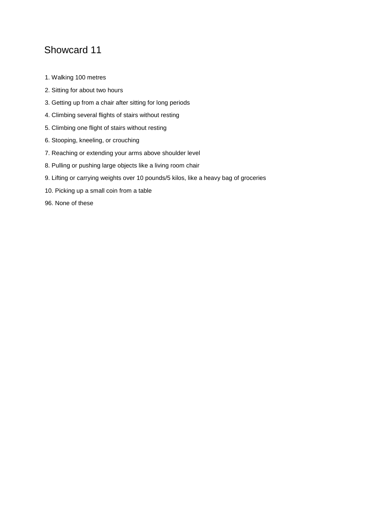- 1. Walking 100 metres
- 2. Sitting for about two hours
- 3. Getting up from a chair after sitting for long periods
- 4. Climbing several flights of stairs without resting
- 5. Climbing one flight of stairs without resting
- 6. Stooping, kneeling, or crouching
- 7. Reaching or extending your arms above shoulder level
- 8. Pulling or pushing large objects like a living room chair
- 9. Lifting or carrying weights over 10 pounds/5 kilos, like a heavy bag of groceries
- 10. Picking up a small coin from a table
- 96. None of these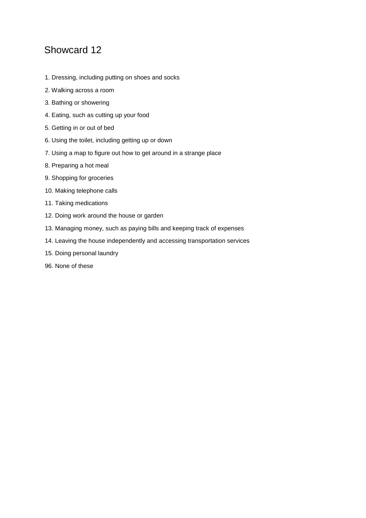- 1. Dressing, including putting on shoes and socks
- 2. Walking across a room
- 3. Bathing or showering
- 4. Eating, such as cutting up your food
- 5. Getting in or out of bed
- 6. Using the toilet, including getting up or down
- 7. Using a map to figure out how to get around in a strange place
- 8. Preparing a hot meal
- 9. Shopping for groceries
- 10. Making telephone calls
- 11. Taking medications
- 12. Doing work around the house or garden
- 13. Managing money, such as paying bills and keeping track of expenses
- 14. Leaving the house independently and accessing transportation services
- 15. Doing personal laundry
- 96. None of these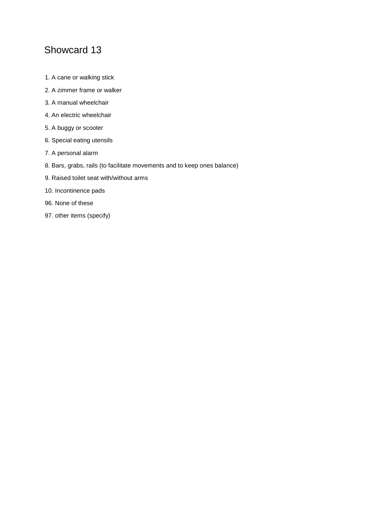- 1. A cane or walking stick
- 2. A zimmer frame or walker
- 3. A manual wheelchair
- 4. An electric wheelchair
- 5. A buggy or scooter
- 6. Special eating utensils
- 7. A personal alarm
- 8. Bars, grabs, rails (to facilitate movements and to keep ones balance)
- 9. Raised toilet seat with/without arms
- 10. Incontinence pads
- 96. None of these
- 97. other items (specify)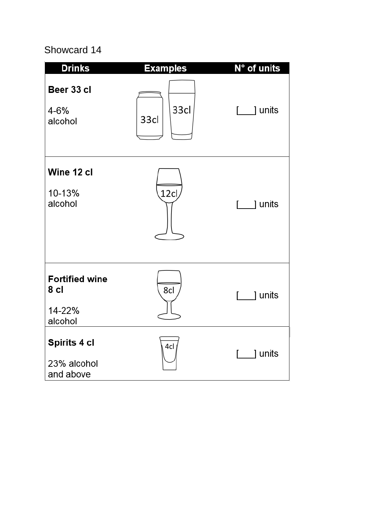| <b>Drinks</b>                                      | <b>Examples</b> | N° of units             |
|----------------------------------------------------|-----------------|-------------------------|
| Beer 33 cl<br>4-6%<br>alcohol                      | 33cl<br>33cl    | [ ] units               |
| Wine 12 cl<br>10-13%<br>alcohol                    | 12c             | ] units<br>r.           |
| <b>Fortified wine</b><br>8 cl<br>14-22%<br>alcohol | 8cl             | 1 units<br>$\mathbf{L}$ |
| Spirits 4 cl<br>23% alcohol<br>and above           | 4cl             | ] units                 |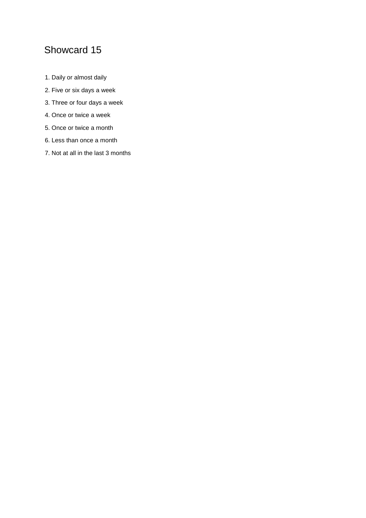- 1. Daily or almost daily
- 2. Five or six days a week
- 3. Three or four days a week
- 4. Once or twice a week
- 5. Once or twice a month
- 6. Less than once a month
- 7. Not at all in the last 3 months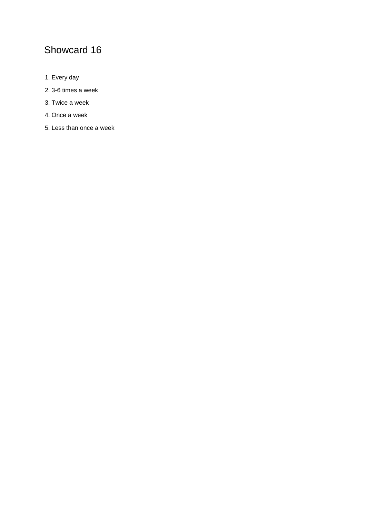- 1. Every day
- 2. 3-6 times a week
- 3. Twice a week
- 4. Once a week
- 5. Less than once a week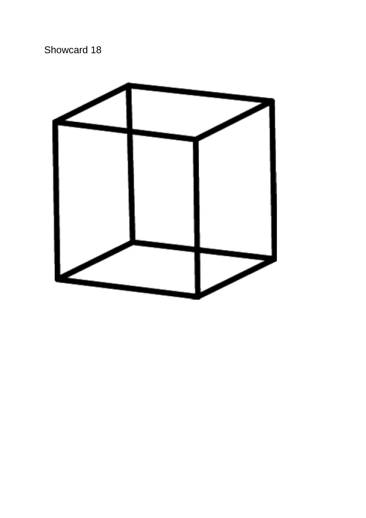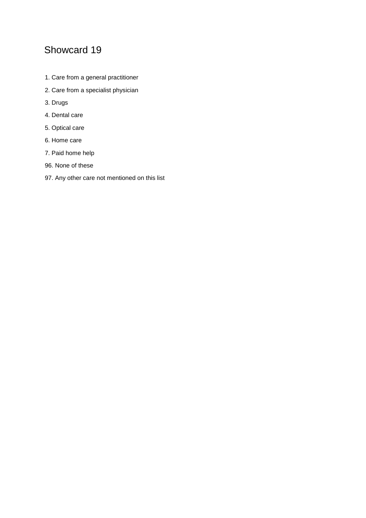- 1. Care from a general practitioner
- 2. Care from a specialist physician
- 3. Drugs
- 4. Dental care
- 5. Optical care
- 6. Home care
- 7. Paid home help
- 96. None of these
- 97. Any other care not mentioned on this list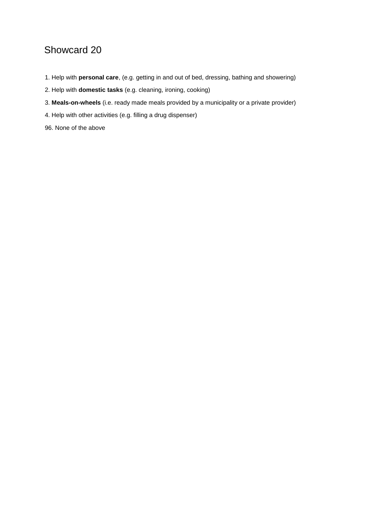- 1. Help with **personal care**, (e.g. getting in and out of bed, dressing, bathing and showering)
- 2. Help with **domestic tasks** (e.g. cleaning, ironing, cooking)
- 3. **Meals-on-wheels** (i.e. ready made meals provided by a municipality or a private provider)
- 4. Help with other activities (e.g. filling a drug dispenser)

96. None of the above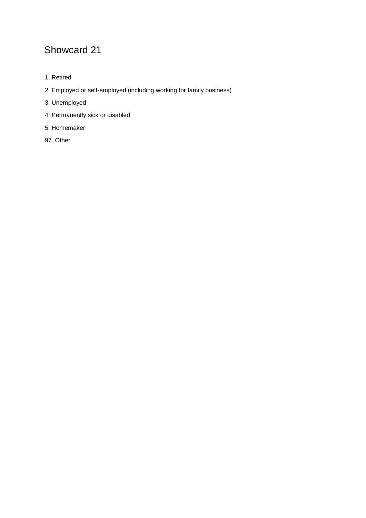- 1. Retired
- 2. Employed or self-employed (including working for family business)
- 3. Unemployed
- 4. Permanently sick or disabled
- 5. Homemaker
- 97. Other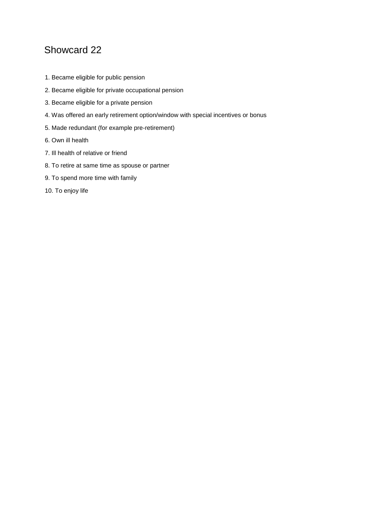- 1. Became eligible for public pension
- 2. Became eligible for private occupational pension
- 3. Became eligible for a private pension
- 4. Was offered an early retirement option/window with special incentives or bonus
- 5. Made redundant (for example pre-retirement)
- 6. Own ill health
- 7. Ill health of relative or friend
- 8. To retire at same time as spouse or partner
- 9. To spend more time with family
- 10. To enjoy life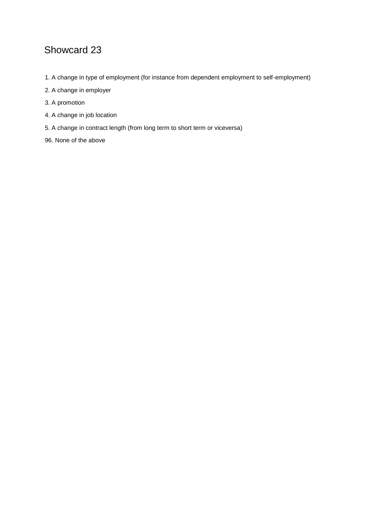- 1. A change in type of employment (for instance from dependent employment to self-employment)
- 2. A change in employer
- 3. A promotion
- 4. A change in job location
- 5. A change in contract length (from long term to short term or viceversa)
- 96. None of the above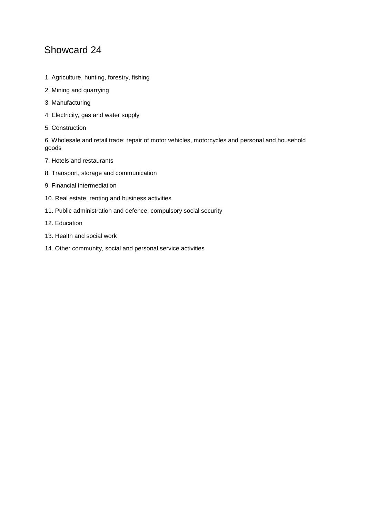- 1. Agriculture, hunting, forestry, fishing
- 2. Mining and quarrying
- 3. Manufacturing
- 4. Electricity, gas and water supply
- 5. Construction

6. Wholesale and retail trade; repair of motor vehicles, motorcycles and personal and household goods

- 7. Hotels and restaurants
- 8. Transport, storage and communication
- 9. Financial intermediation
- 10. Real estate, renting and business activities
- 11. Public administration and defence; compulsory social security
- 12. Education
- 13. Health and social work
- 14. Other community, social and personal service activities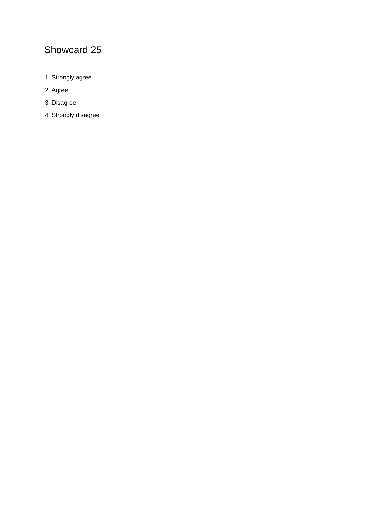- 1. Strongly agree
- 2. Agree
- 3. Disagree
- 4. Strongly disagree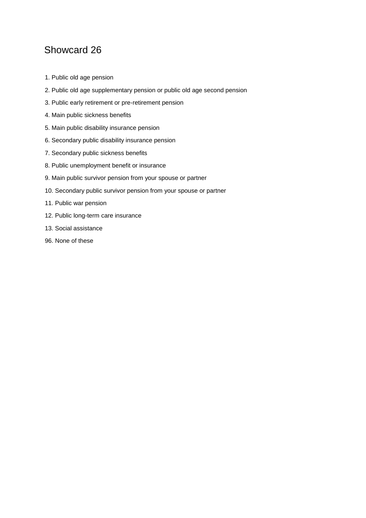- 1. Public old age pension
- 2. Public old age supplementary pension or public old age second pension
- 3. Public early retirement or pre-retirement pension
- 4. Main public sickness benefits
- 5. Main public disability insurance pension
- 6. Secondary public disability insurance pension
- 7. Secondary public sickness benefits
- 8. Public unemployment benefit or insurance
- 9. Main public survivor pension from your spouse or partner
- 10. Secondary public survivor pension from your spouse or partner
- 11. Public war pension
- 12. Public long-term care insurance
- 13. Social assistance
- 96. None of these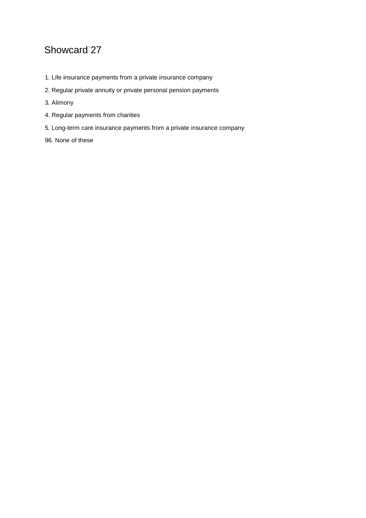- 1. Life insurance payments from a private insurance company
- 2. Regular private annuity or private personal pension payments
- 3. Alimony
- 4. Regular payments from charities
- 5. Long-term care insurance payments from a private insurance company
- 96. None of these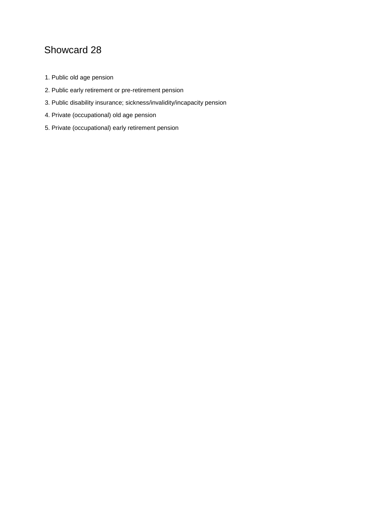- 1. Public old age pension
- 2. Public early retirement or pre-retirement pension
- 3. Public disability insurance; sickness/invalidity/incapacity pension
- 4. Private (occupational) old age pension
- 5. Private (occupational) early retirement pension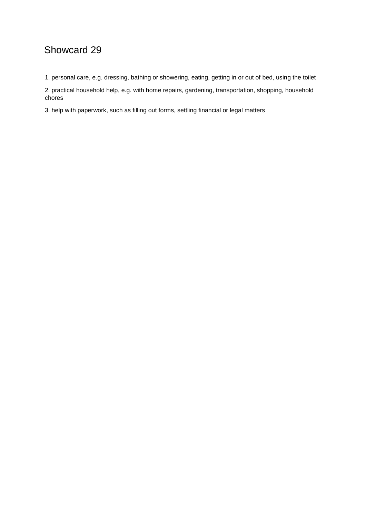1. personal care, e.g. dressing, bathing or showering, eating, getting in or out of bed, using the toilet

2. practical household help, e.g. with home repairs, gardening, transportation, shopping, household chores

3. help with paperwork, such as filling out forms, settling financial or legal matters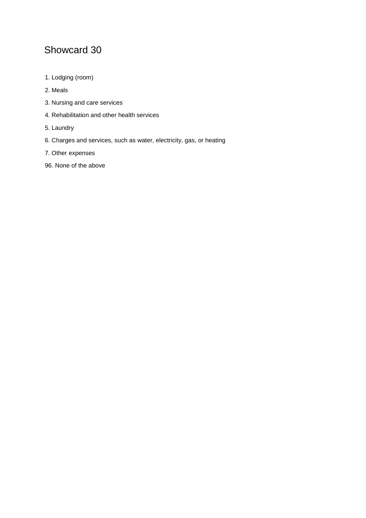- 1. Lodging (room)
- 2. Meals
- 3. Nursing and care services
- 4. Rehabilitation and other health services
- 5. Laundry
- 6. Charges and services, such as water, electricity, gas, or heating
- 7. Other expenses
- 96. None of the above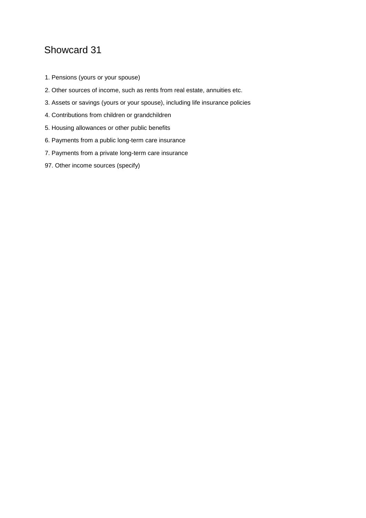- 1. Pensions (yours or your spouse)
- 2. Other sources of income, such as rents from real estate, annuities etc.
- 3. Assets or savings (yours or your spouse), including life insurance policies
- 4. Contributions from children or grandchildren
- 5. Housing allowances or other public benefits
- 6. Payments from a public long-term care insurance
- 7. Payments from a private long-term care insurance
- 97. Other income sources (specify)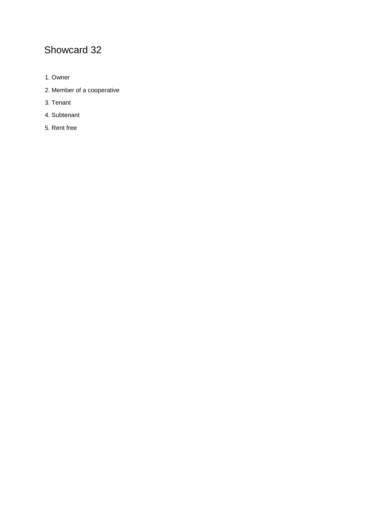- 1. Owner
- 2. Member of a cooperative
- 3. Tenant
- 4. Subtenant
- 5. Rent free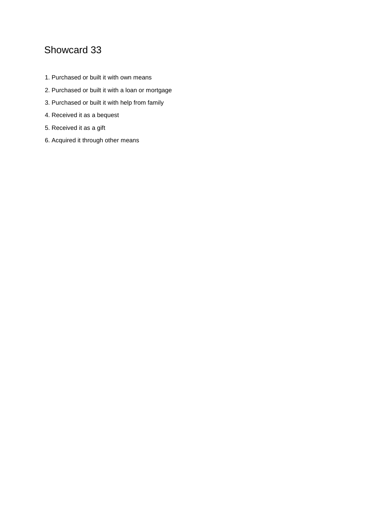- 1. Purchased or built it with own means
- 2. Purchased or built it with a loan or mortgage
- 3. Purchased or built it with help from family
- 4. Received it as a bequest
- 5. Received it as a gift
- 6. Acquired it through other means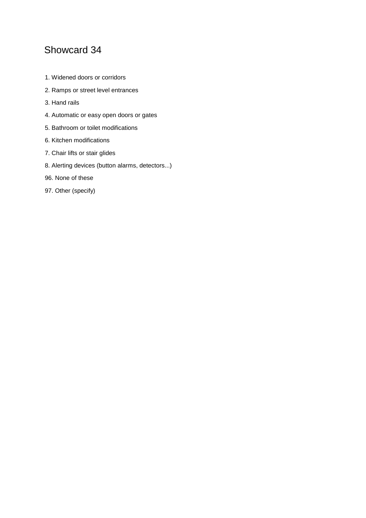- 1. Widened doors or corridors
- 2. Ramps or street level entrances
- 3. Hand rails
- 4. Automatic or easy open doors or gates
- 5. Bathroom or toilet modifications
- 6. Kitchen modifications
- 7. Chair lifts or stair glides
- 8. Alerting devices (button alarms, detectors...)
- 96. None of these
- 97. Other (specify)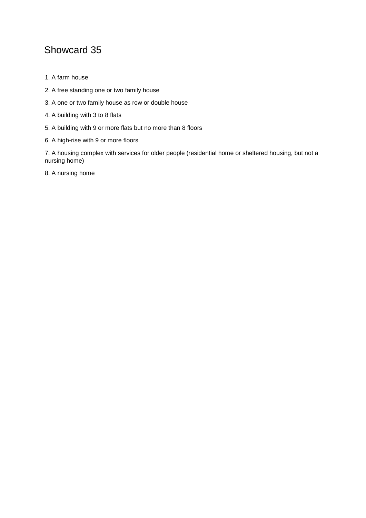- 1. A farm house
- 2. A free standing one or two family house
- 3. A one or two family house as row or double house
- 4. A building with 3 to 8 flats
- 5. A building with 9 or more flats but no more than 8 floors
- 6. A high-rise with 9 or more floors

7. A housing complex with services for older people (residential home or sheltered housing, but not a nursing home)

8. A nursing home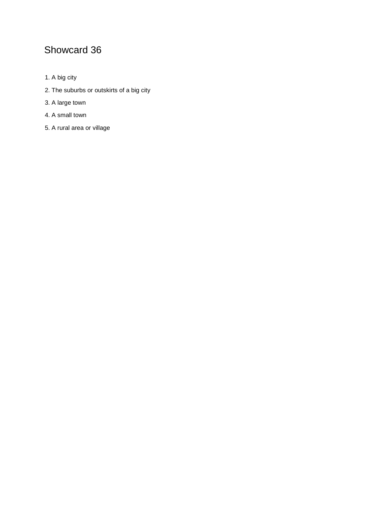- 1. A big city
- 2. The suburbs or outskirts of a big city
- 3. A large town
- 4. A small town
- 5. A rural area or village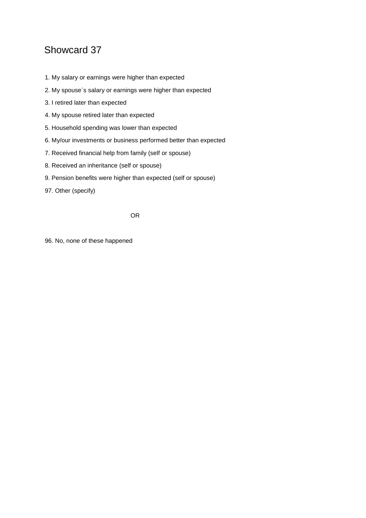- 1. My salary or earnings were higher than expected
- 2. My spouse´s salary or earnings were higher than expected
- 3. I retired later than expected
- 4. My spouse retired later than expected
- 5. Household spending was lower than expected
- 6. My/our investments or business performed better than expected
- 7. Received financial help from family (self or spouse)
- 8. Received an inheritance (self or spouse)
- 9. Pension benefits were higher than expected (self or spouse)
- 97. Other (specify)

OR

96. No, none of these happened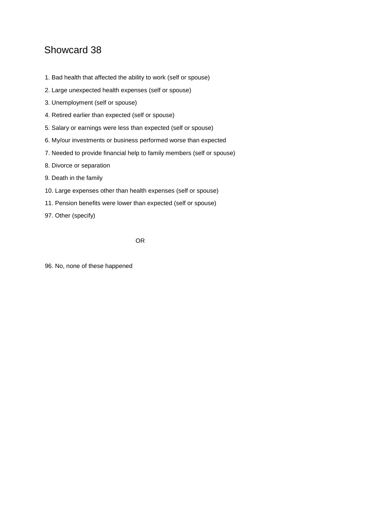- 1. Bad health that affected the ability to work (self or spouse)
- 2. Large unexpected health expenses (self or spouse)
- 3. Unemployment (self or spouse)
- 4. Retired earlier than expected (self or spouse)
- 5. Salary or earnings were less than expected (self or spouse)
- 6. My/our investments or business performed worse than expected
- 7. Needed to provide financial help to family members (self or spouse)
- 8. Divorce or separation
- 9. Death in the family
- 10. Large expenses other than health expenses (self or spouse)
- 11. Pension benefits were lower than expected (self or spouse)
- 97. Other (specify)

OR

96. No, none of these happened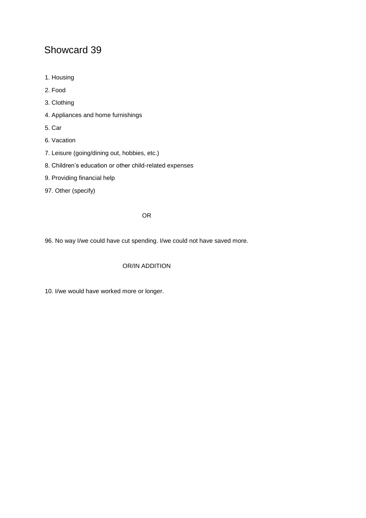- 1. Housing
- 2. Food
- 3. Clothing
- 4. Appliances and home furnishings
- 5. Car
- 6. Vacation
- 7. Leisure (going/dining out, hobbies, etc.)
- 8. Children's education or other child-related expenses
- 9. Providing financial help
- 97. Other (specify)

#### OR

96. No way I/we could have cut spending. I/we could not have saved more.

#### OR/IN ADDITION

10. I/we would have worked more or longer.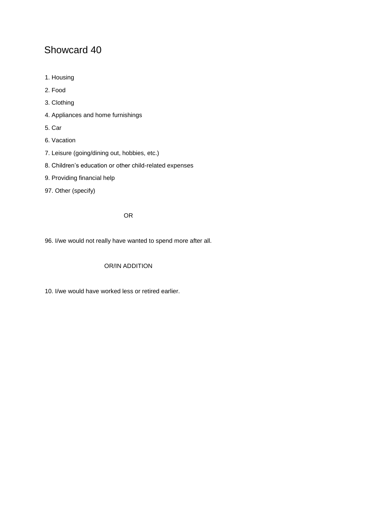- 1. Housing
- 2. Food
- 3. Clothing
- 4. Appliances and home furnishings
- 5. Car
- 6. Vacation
- 7. Leisure (going/dining out, hobbies, etc.)
- 8. Children's education or other child-related expenses
- 9. Providing financial help
- 97. Other (specify)

OR

96. I/we would not really have wanted to spend more after all.

#### OR/IN ADDITION

10. I/we would have worked less or retired earlier.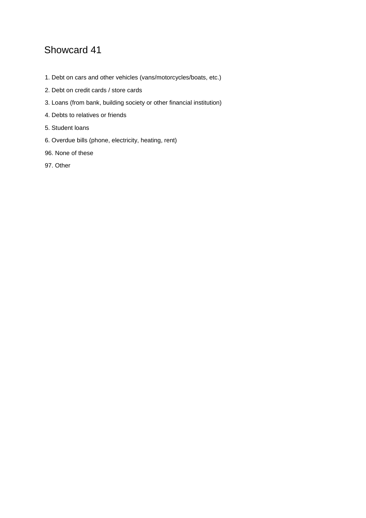- 1. Debt on cars and other vehicles (vans/motorcycles/boats, etc.)
- 2. Debt on credit cards / store cards
- 3. Loans (from bank, building society or other financial institution)
- 4. Debts to relatives or friends
- 5. Student loans
- 6. Overdue bills (phone, electricity, heating, rent)
- 96. None of these
- 97. Other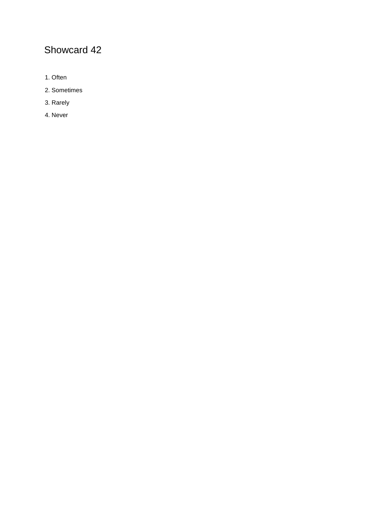- 1. Often
- 2. Sometimes
- 3. Rarely
- 4. Never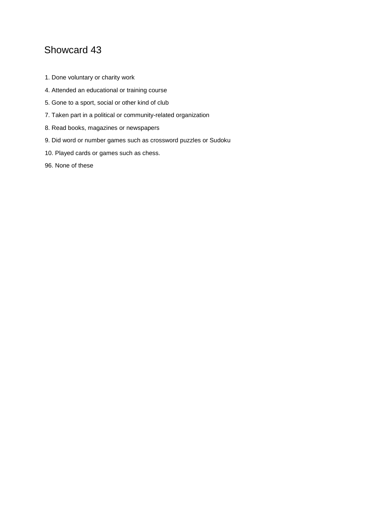- 1. Done voluntary or charity work
- 4. Attended an educational or training course
- 5. Gone to a sport, social or other kind of club
- 7. Taken part in a political or community-related organization
- 8. Read books, magazines or newspapers
- 9. Did word or number games such as crossword puzzles or Sudoku
- 10. Played cards or games such as chess.
- 96. None of these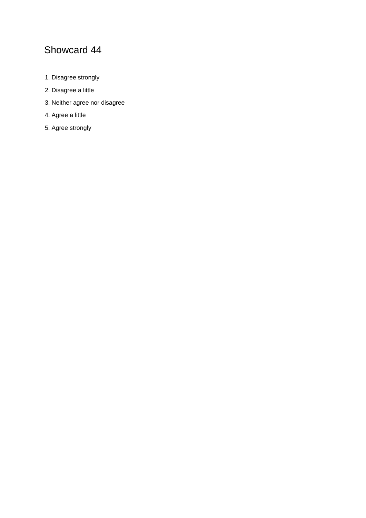- 1. Disagree strongly
- 2. Disagree a little
- 3. Neither agree nor disagree
- 4. Agree a little
- 5. Agree strongly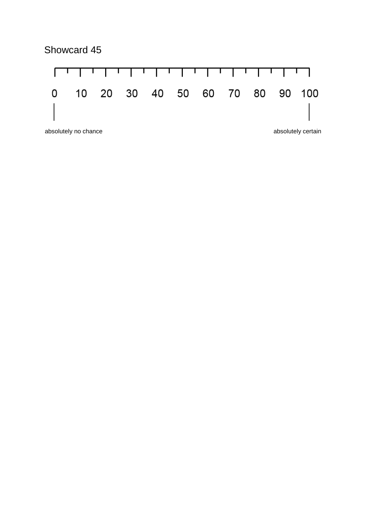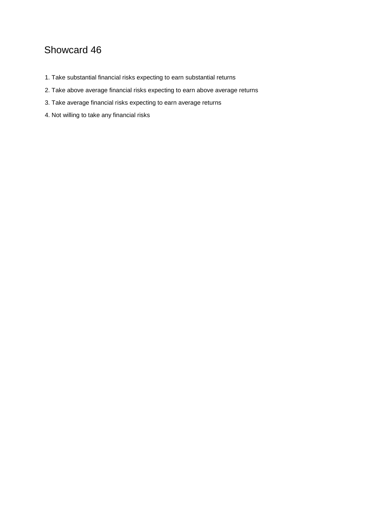- 1. Take substantial financial risks expecting to earn substantial returns
- 2. Take above average financial risks expecting to earn above average returns
- 3. Take average financial risks expecting to earn average returns
- 4. Not willing to take any financial risks